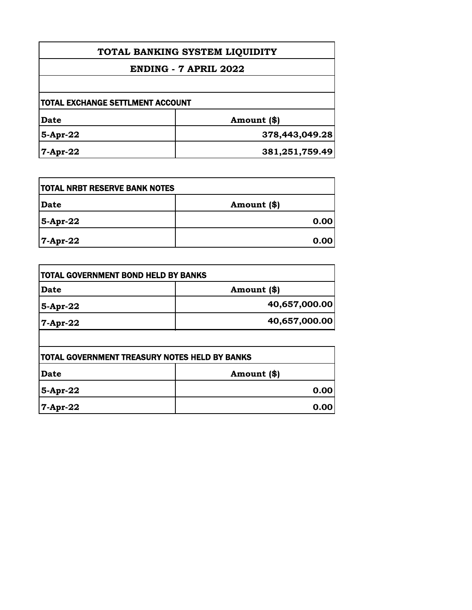| TOTAL BANKING SYSTEM LIQUIDITY<br>ENDING - 7 APRIL 2022 |                |
|---------------------------------------------------------|----------------|
|                                                         |                |
| <b>TOTAL EXCHANGE SETTLMENT ACCOUNT</b>                 |                |
| <b>Date</b>                                             | Amount (\$)    |
| 5-Apr-22                                                | 378,443,049.28 |
| $7-Apr-22$                                              | 381,251,759.49 |

| <b>TOTAL NRBT RESERVE BANK NOTES</b> |             |
|--------------------------------------|-------------|
| <b>Date</b>                          | Amount (\$) |
| 5-Apr-22                             | 0.00        |
| 7-Apr-22                             | 0.00        |

| Amount (\$)   |
|---------------|
| 40,657,000.00 |
| 40,657,000.00 |
|               |

| <b>TOTAL GOVERNMENT TREASURY NOTES HELD BY BANKS</b> |             |
|------------------------------------------------------|-------------|
| Date                                                 | Amount (\$) |
| 5-Apr-22                                             | 0.00        |
| $7-Apr-22$                                           | 0.00        |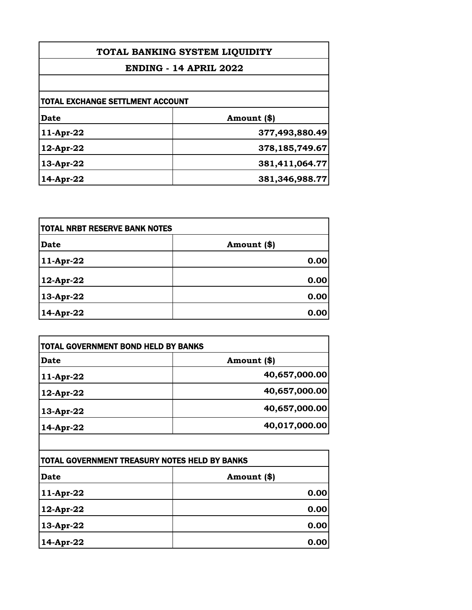| TOTAL BANKING SYSTEM LIQUIDITY<br><b>ENDING - 14 APRIL 2022</b> |                   |  |
|-----------------------------------------------------------------|-------------------|--|
|                                                                 |                   |  |
| <b>TOTAL EXCHANGE SETTLMENT ACCOUNT</b>                         |                   |  |
| Date                                                            | Amount (\$)       |  |
| 11-Apr-22                                                       | 377,493,880.49    |  |
| 12-Apr-22                                                       | 378,185,749.67    |  |
| 13-Apr-22                                                       | 381,411,064.77    |  |
| 14-Apr-22                                                       | 381, 346, 988. 77 |  |

| <b>TOTAL NRBT RESERVE BANK NOTES</b> |             |
|--------------------------------------|-------------|
| <b>Date</b>                          | Amount (\$) |
| 11-Apr-22                            | 0.00        |
| 12-Apr-22                            | 0.00        |
| 13-Apr-22                            | 0.00        |
| 14-Apr-22                            | 0.00        |

| Date      | Amount (\$)   |
|-----------|---------------|
| 11-Apr-22 | 40,657,000.00 |
| 12-Apr-22 | 40,657,000.00 |
| 13-Apr-22 | 40,657,000.00 |
| 14-Apr-22 | 40,017,000.00 |

| TOTAL GOVERNMENT TREASURY NOTES HELD BY BANKS |             |
|-----------------------------------------------|-------------|
| <b>Date</b>                                   | Amount (\$) |
| 11-Apr-22                                     | 0.00        |
| 12-Apr-22                                     | 0.00        |
| 13-Apr-22                                     | 0.00        |
| 14-Apr-22                                     | 0.00        |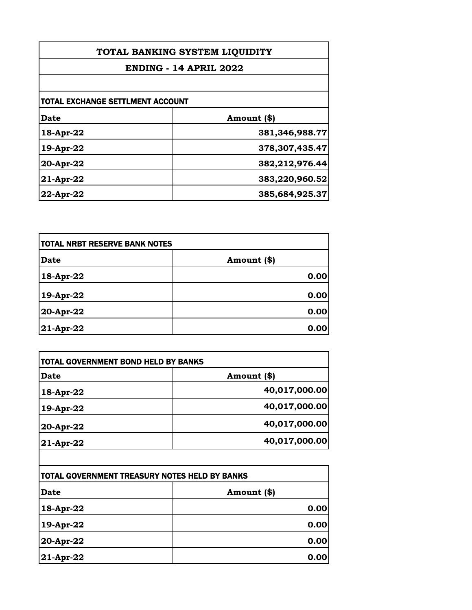| TOTAL BANKING SYSTEM LIQUIDITY<br><b>ENDING - 14 APRIL 2022</b> |                   |                                  |             |
|-----------------------------------------------------------------|-------------------|----------------------------------|-------------|
|                                                                 |                   | TOTAL EXCHANGE SETTLMENT ACCOUNT |             |
|                                                                 |                   | <b>Date</b>                      | Amount (\$) |
| 18-Apr-22                                                       | 381,346,988.77    |                                  |             |
| 19-Apr-22                                                       | 378, 307, 435. 47 |                                  |             |
| 20-Apr-22                                                       | 382,212,976.44    |                                  |             |
| $21$ -Apr-22                                                    | 383,220,960.52    |                                  |             |
| $22$ -Apr-22                                                    | 385,684,925.37    |                                  |             |

| <b>TOTAL NRBT RESERVE BANK NOTES</b> |             |
|--------------------------------------|-------------|
| <b>Date</b>                          | Amount (\$) |
| 18-Apr-22                            | 0.00        |
| 19-Apr-22                            | 0.00        |
| 20-Apr-22                            | 0.00        |
| 21-Apr-22                            | 0.00        |

| Date        | Amount (\$)   |
|-------------|---------------|
| 18-Apr-22   | 40,017,000.00 |
| 19-Apr-22   | 40,017,000.00 |
| 20-Apr-22   | 40,017,000.00 |
| $21-Apr-22$ | 40,017,000.00 |

| TOTAL GOVERNMENT TREASURY NOTES HELD BY BANKS |             |
|-----------------------------------------------|-------------|
| <b>Date</b>                                   | Amount (\$) |
| 18-Apr-22                                     | 0.00        |
| 19-Apr-22                                     | 0.00        |
| 20-Apr-22                                     | 0.00        |
| 21-Apr-22                                     | 0.00        |